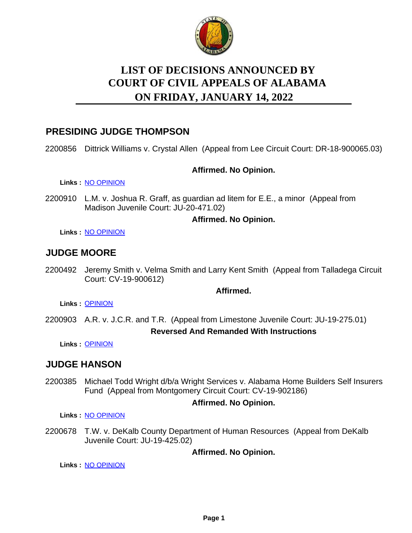

# **LIST OF DECISIONS ANNOUNCED BY ON FRIDAY, JANUARY 14, 2022 COURT OF CIVIL APPEALS OF ALABAMA**

## **PRESIDING JUDGE THOMPSON**

2200856 Dittrick Williams v. Crystal Allen (Appeal from Lee Circuit Court: DR-18-900065.03)

#### **Affirmed. No Opinion.**

**Links :** [NO OPINION](https://acis.alabama.gov/displaydocs.cfm?no=1115686&event=68O0JYUMI)

2200910 L.M. v. Joshua R. Graff, as guardian ad litem for E.E., a minor (Appeal from Madison Juvenile Court: JU-20-471.02)

#### **Affirmed. No Opinion.**

**Links :** [NO OPINION](https://acis.alabama.gov/displaydocs.cfm?no=1115687&event=68O0JYUP4)

## **JUDGE MOORE**

2200492 Jeremy Smith v. Velma Smith and Larry Kent Smith (Appeal from Talladega Circuit Court: CV-19-900612)

**Affirmed.**

**Links :** [OPINION](https://acis.alabama.gov/displaydocs.cfm?no=1115682&event=68O0JYUBH)

2200903 A.R. v. J.C.R. and T.R. (Appeal from Limestone Juvenile Court: JU-19-275.01) **Reversed And Remanded With Instructions**

**Links :** [OPINION](https://acis.alabama.gov/displaydocs.cfm?no=1115683&event=68O0JYUEN)

## **JUDGE HANSON**

2200385 Michael Todd Wright d/b/a Wright Services v. Alabama Home Builders Self Insurers Fund (Appeal from Montgomery Circuit Court: CV-19-902186)

#### **Affirmed. No Opinion.**

**Links :** [NO OPINION](https://acis.alabama.gov/displaydocs.cfm?no=1115684&event=68O0JYUH9)

2200678 T.W. v. DeKalb County Department of Human Resources (Appeal from DeKalb Juvenile Court: JU-19-425.02)

**Affirmed. No Opinion.**

**Links :** [NO OPINION](https://acis.alabama.gov/displaydocs.cfm?no=1115685&event=68O0JYUJS)